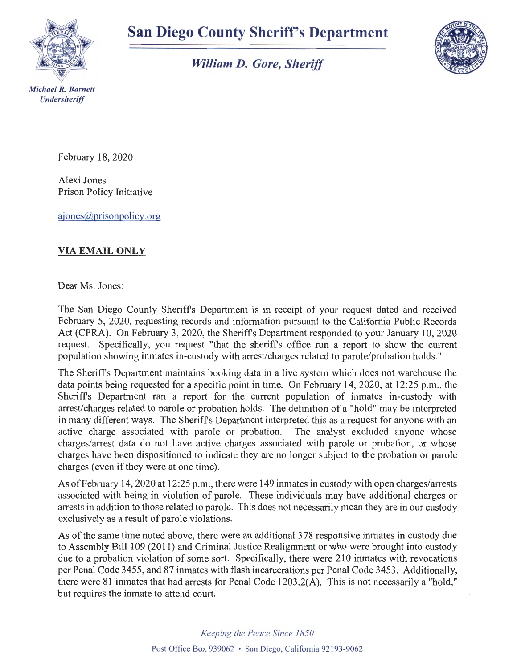

## **San Diego County Sheriff's Department**

*William D. Gore, Sheriff* 



February 18, 2020

Alexi Jones Prison Policy Initiative

ajones@prisonpolicy.org

## **VIA EMAIL ONLY**

Dear Ms. Jones:

The San Diego County Sheriffs Department is in receipt of your request dated and received February 5, 2020, requesting records and information pursuant to the California Public Records Act (CPRA). On February 3, 2020, the Sheriffs Department responded to your January 10, 2020 request. Specifically, you request "that the sheriffs office run a report to show the current population showing inmates in-custody with arrest/charges related to parole/probation holds."

The Sheriffs Department maintains booking data in a live system which does not warehouse the data points being requested for a specific point in time. On February 14, 2020, at 12:25 p.m., the Sheriffs Department ran a report for the current population of inmates in-custody with arrest/charges related to parole or probation holds. The definition of a "hold" may be interpreted in many different ways. The Sheriffs Department interpreted this as a request for anyone with an active charge associated with parole or probation. The analyst excluded anyone whose charges/arrest data do not have active charges associated with parole or probation, or whose charges have been dispositioned to indicate they are no longer subject to the probation or parole charges (even if they were at one time).

As of February 14, 2020 at 12:25 p.m., there were 149 inmates in custody with open charges/arrests associated with being in violation of parole. These individuals may have additional charges or arrests in addition to those related to parole. This does not necessarily mean they are in our custody exclusively as a result of parole violations.

As of the same time noted above, there were an additional 3 78 responsive inmates in custody due to Assembly Bill 109 (2011) and Criminal Justice Realignment or who were brought into custody due to a probation violation of some sort. Specifically, there were 210 inmates with revocations per Penal Code 3455, and 87 inmates with flash incarcerations per Penal Code 3453. Additionally, there were 81 inmates that had arrests for Penal Code 1203 .2(A). This is not necessarily a "hold," but requires the inmate to attend court.